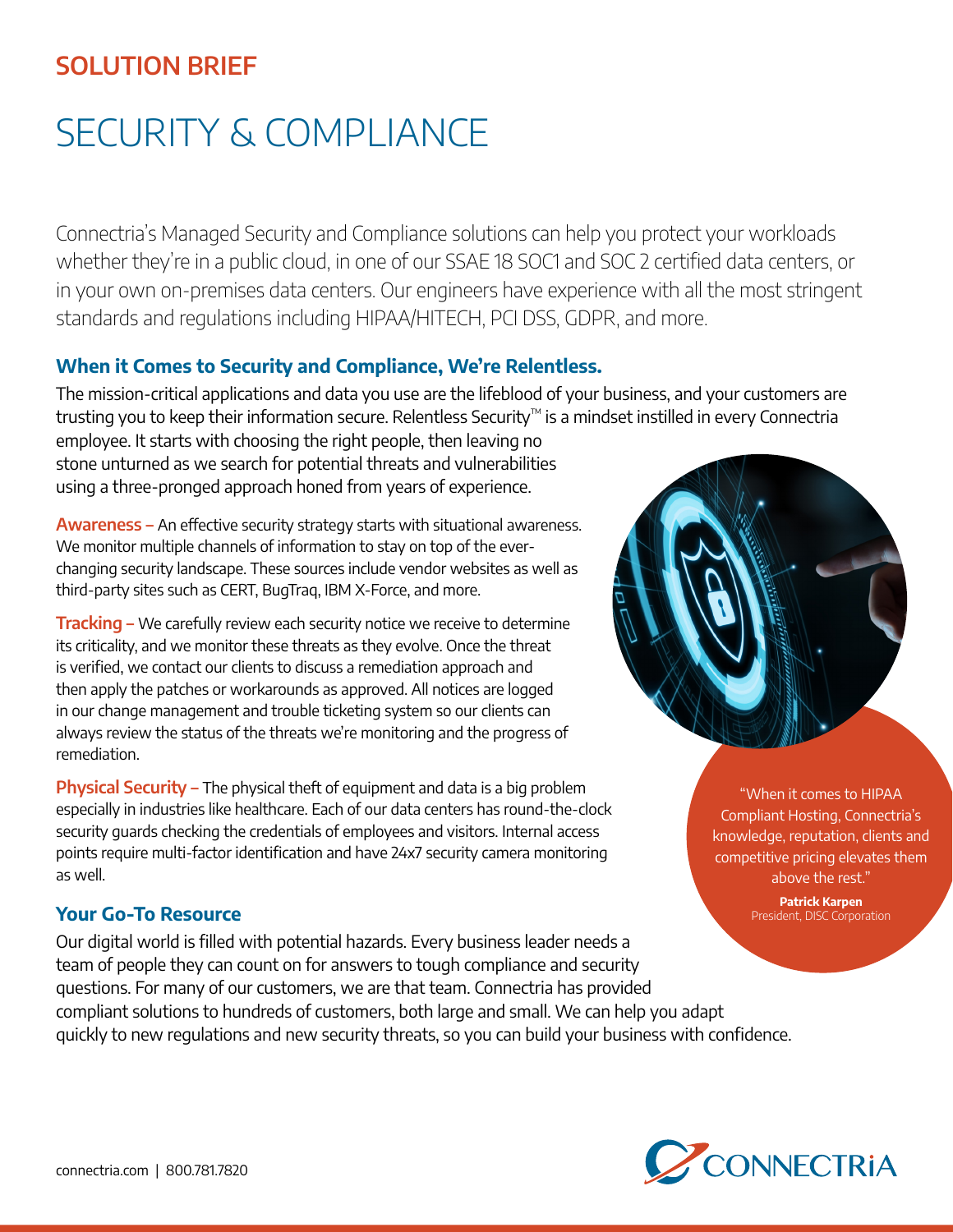## **SOLUTION BRIEF**

# SECURITY & COMPLIANCE

Connectria's Managed Security and Compliance solutions can help you protect your workloads whether they're in a public cloud, in one of our SSAE 18 SOC1 and SOC 2 certified data centers, or in your own on-premises data centers. Our engineers have experience with all the most stringent standards and regulations including HIPAA/HITECH, PCI DSS, GDPR, and more.

### **When it Comes to Security and Compliance, We're Relentless.**

The mission-critical applications and data you use are the lifeblood of your business, and your customers are trusting you to keep their information secure. Relentless Security™ is a mindset instilled in every Connectria

employee. It starts with choosing the right people, then leaving no stone unturned as we search for potential threats and vulnerabilities using a three-pronged approach honed from years of experience.

**Awareness –** An effective security strategy starts with situational awareness. We monitor multiple channels of information to stay on top of the everchanging security landscape. These sources include vendor websites as well as third-party sites such as CERT, BugTraq, IBM X-Force, and more.

**Tracking –** We carefully review each security notice we receive to determine its criticality, and we monitor these threats as they evolve. Once the threat is verified, we contact our clients to discuss a remediation approach and then apply the patches or workarounds as approved. All notices are logged in our change management and trouble ticketing system so our clients can always review the status of the threats we're monitoring and the progress of remediation.

**Physical Security –** The physical theft of equipment and data is a big problem especially in industries like healthcare. Each of our data centers has round-the-clock security guards checking the credentials of employees and visitors. Internal access points require multi-factor identification and have 24x7 security camera monitoring as well.

#### **Your Go-To Resource**

Our digital world is filled with potential hazards. Every business leader needs a team of people they can count on for answers to tough compliance and security questions. For many of our customers, we are that team. Connectria has provided compliant solutions to hundreds of customers, both large and small. We can help you adapt quickly to new regulations and new security threats, so you can build your business with confidence.



"When it comes to HIPAA Compliant Hosting, Connectria's knowledge, reputation, clients and competitive pricing elevates them above the rest."

> **Patrick Karpen**  President, DISC Corporation